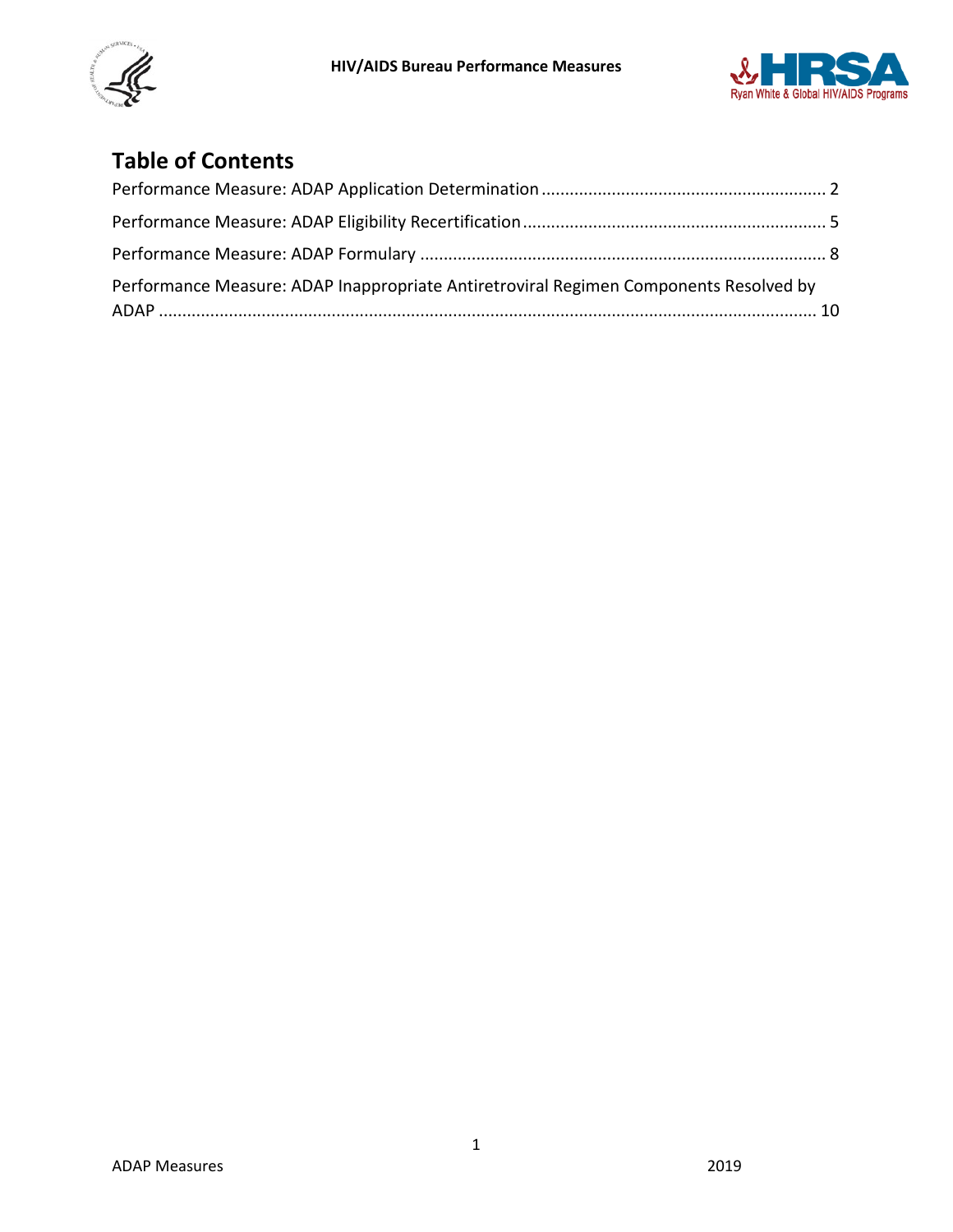



# **Table of Contents**

<span id="page-0-0"></span>

| Performance Measure: ADAP Inappropriate Antiretroviral Regimen Components Resolved by |  |
|---------------------------------------------------------------------------------------|--|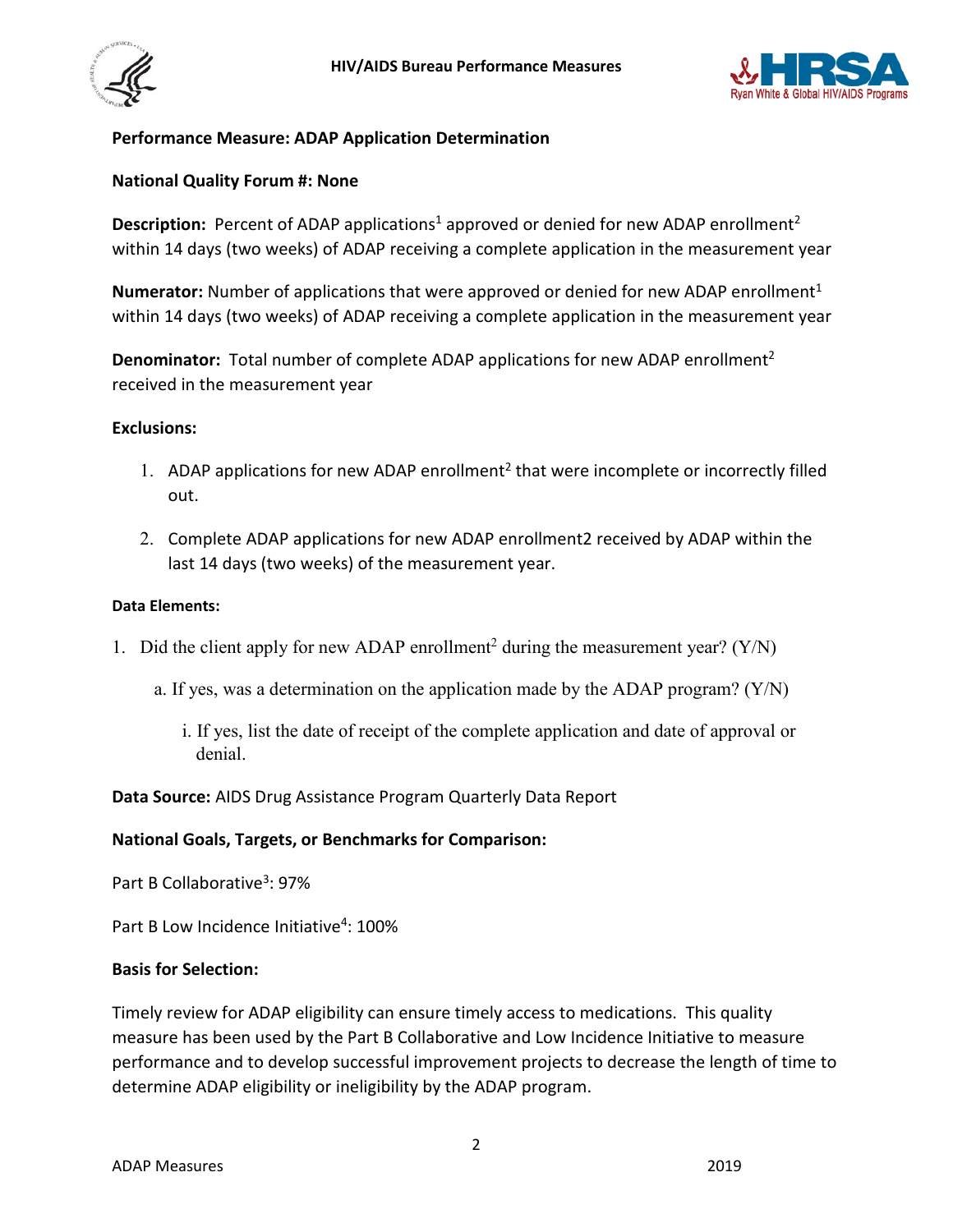



## **Performance Measure: ADAP Application Determination**

#### **National Quality Forum #: None**

**Description:** Percent of ADAP applications<sup>1</sup> approved or denied for new ADAP enrollment<sup>2</sup> within 14 days (two weeks) of ADAP receiving a complete application in the measurement year

**Numerator:** Number of applications that were approved or denied for new ADAP enrollment<sup>1</sup> within 14 days (two weeks) of ADAP receiving a complete application in the measurement year

**Denominator:** Total number of complete ADAP applications for new ADAP enrollment<sup>2</sup> received in the measurement year

#### **Exclusions:**

- 1. ADAP applications for new ADAP enrollment<sup>2</sup> that were incomplete or incorrectly filled out.
- 2. Complete ADAP applications for new ADAP enrollment2 received by ADAP within the last 14 days (two weeks) of the measurement year.

#### **Data Elements:**

- 1. Did the client apply for new ADAP enrollment<sup>2</sup> during the measurement year? (Y/N)
	- a. If yes, was a determination on the application made by the ADAP program? (Y/N)
		- i. If yes, list the date of receipt of the complete application and date of approval or denial.

**Data Source:** AIDS Drug Assistance Program Quarterly Data Report

#### **National Goals, Targets, or Benchmarks for Comparison:**

Part B Collaborative<sup>3</sup>: 97%

Part B Low Incidence Initiative<sup>4</sup>: 100%

#### **Basis for Selection:**

Timely review for ADAP eligibility can ensure timely access to medications. This quality measure has been used by the Part B Collaborative and Low Incidence Initiative to measure performance and to develop successful improvement projects to decrease the length of time to determine ADAP eligibility or ineligibility by the ADAP program.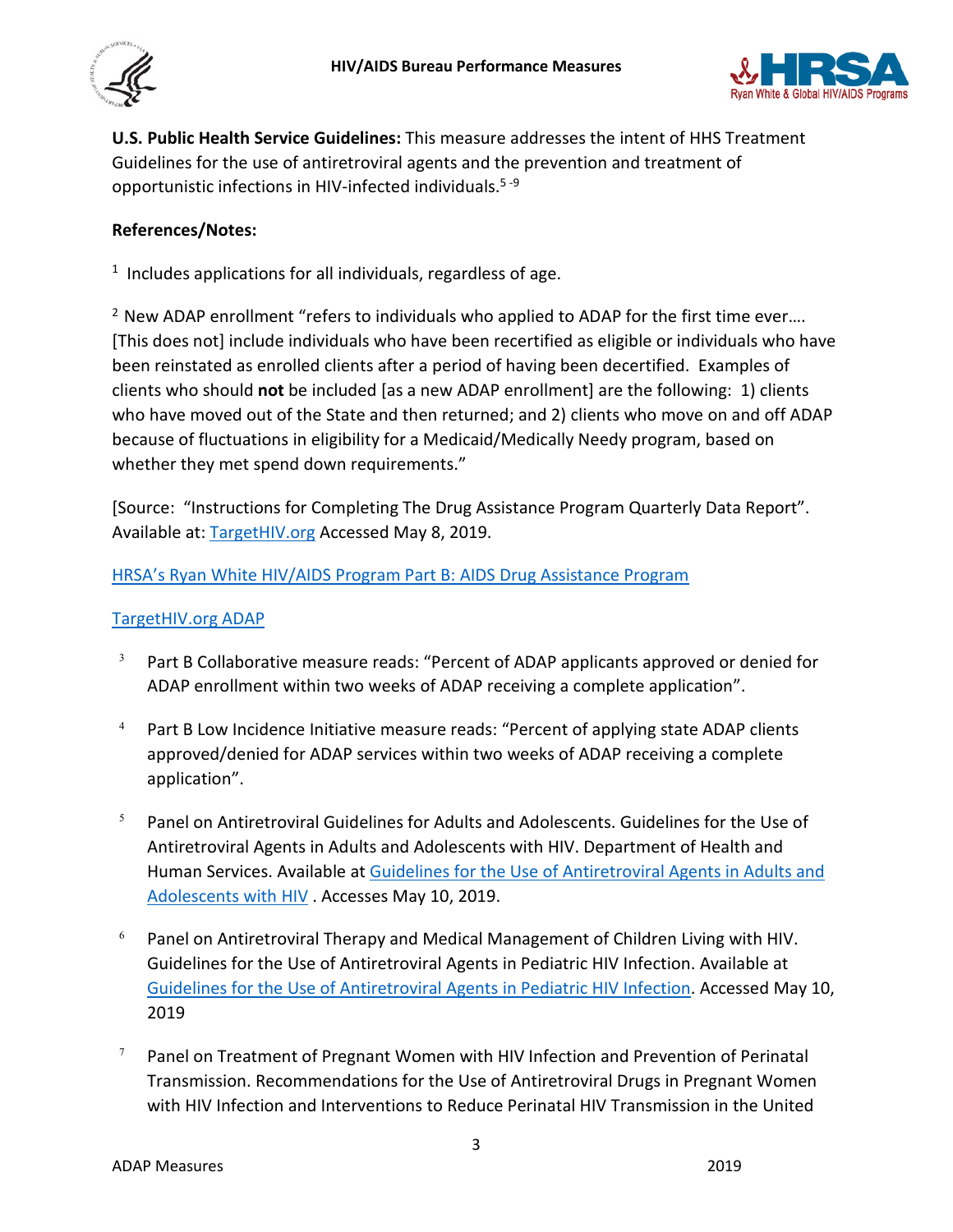



**U.S. Public Health Service Guidelines:** This measure addresses the intent of HHS Treatment Guidelines for the use of antiretroviral agents and the prevention and treatment of opportunistic infections in HIV-infected individuals.5 -9

## **References/Notes:**

 $1$  Includes applications for all individuals, regardless of age.

<sup>2</sup> New ADAP enrollment "refers to individuals who applied to ADAP for the first time ever.... [This does not] include individuals who have been recertified as eligible or individuals who have been reinstated as enrolled clients after a period of having been decertified. Examples of clients who should **not** be included [as a new ADAP enrollment] are the following: 1) clients who have moved out of the State and then returned; and 2) clients who move on and off ADAP because of fluctuations in eligibility for a Medicaid/Medically Needy program, based on whether they met spend down requirements."

[Source: "Instructions for Completing The Drug Assistance Program Quarterly Data Report". Available at: [TargetHIV.org](https://targethiv.org/sites/default/files/file-upload/resources/508_2018%20ADR%20Manual_FINAL_013019_508_0.pdf) Accessed May 8, 2019.

#### [HRSA's Ryan White HIV/AIDS Program Part B: AIDS Drug Assistance Program](https://hab.hrsa.gov/sites/default/files/hab/Publications/factsheets/program-factsheet-part-b-adap.pdf)

#### [TargetHIV.org ADAP](https://targethiv.org/searches/adap)

- $3$  Part B Collaborative measure reads: "Percent of ADAP applicants approved or denied for ADAP enrollment within two weeks of ADAP receiving a complete application".
- <sup>4</sup> Part B Low Incidence Initiative measure reads: "Percent of applying state ADAP clients approved/denied for ADAP services within two weeks of ADAP receiving a complete application".
- $5$  Panel on Antiretroviral Guidelines for Adults and Adolescents. Guidelines for the Use of Antiretroviral Agents in Adults and Adolescents with HIV. Department of Health and Human Services. Available a[t Guidelines for the Use of Antiretroviral Agents in Adults and](http://www.aidsinfo.nih.gov/ContentFiles/AdultandAdolescentGL.pdf)  [Adolescents with HIV](http://www.aidsinfo.nih.gov/ContentFiles/AdultandAdolescentGL.pdf) . Accesses May 10, 2019.
- $6$  Panel on Antiretroviral Therapy and Medical Management of Children Living with HIV. Guidelines for the Use of Antiretroviral Agents in Pediatric HIV Infection. Available at [Guidelines for the Use of Antiretroviral Agents in Pediatric HIV Infection.](http://aidsinfo.nih.gov/contentfiles/lvguidelines/pediatricguidelines.pdf) Accessed May 10, 2019
- $7$  Panel on Treatment of Pregnant Women with HIV Infection and Prevention of Perinatal Transmission. Recommendations for the Use of Antiretroviral Drugs in Pregnant Women with HIV Infection and Interventions to Reduce Perinatal HIV Transmission in the United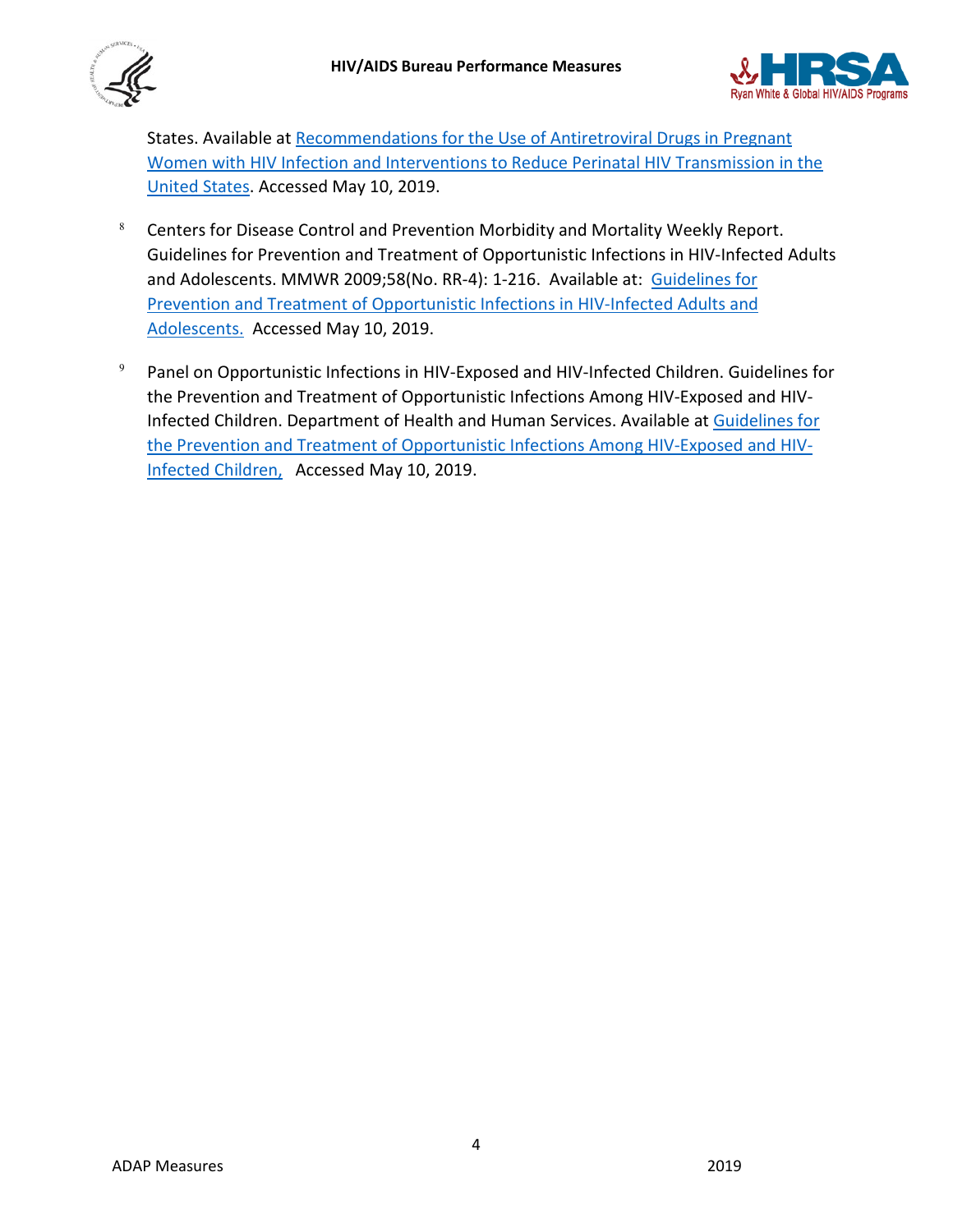



States. Available at [Recommendations for the Use of Antiretroviral Drugs in Pregnant](https://aidsinfo.nih.gov/contentfiles/lvguidelines/PerinatalGL.pdf)  [Women with HIV Infection and Interventions to Reduce Perinatal HIV Transmission in the](https://aidsinfo.nih.gov/contentfiles/lvguidelines/PerinatalGL.pdf)  [United States.](https://aidsinfo.nih.gov/contentfiles/lvguidelines/PerinatalGL.pdf) Accessed May 10, 2019.

- $8$  Centers for Disease Control and Prevention Morbidity and Mortality Weekly Report. Guidelines for Prevention and Treatment of Opportunistic Infections in HIV-Infected Adults and Adolescents. MMWR 2009;58(No. RR-4): 1-216. Available at: Guidelines for [Prevention and Treatment of Opportunistic Infections in HIV-Infected Adults and](https://www.cdc.gov/mmwr/pdf/rr/rr5804.pdf)  [Adolescents.](https://www.cdc.gov/mmwr/pdf/rr/rr5804.pdf) Accessed May 10, 2019.
- <span id="page-3-0"></span> $9$  Panel on Opportunistic Infections in HIV-Exposed and HIV-Infected Children. Guidelines for the Prevention and Treatment of Opportunistic Infections Among HIV-Exposed and HIV-Infected Children. Department of Health and Human Services. Available at [Guidelines for](https://aidsinfo.nih.gov/contentfiles/lvguidelines/oi_guidelines_pediatrics.pdf)  [the Prevention and Treatment of Opportunistic Infections Among HIV-Exposed and HIV-](https://aidsinfo.nih.gov/contentfiles/lvguidelines/oi_guidelines_pediatrics.pdf)[Infected Children,](https://aidsinfo.nih.gov/contentfiles/lvguidelines/oi_guidelines_pediatrics.pdf) Accessed May 10, 2019.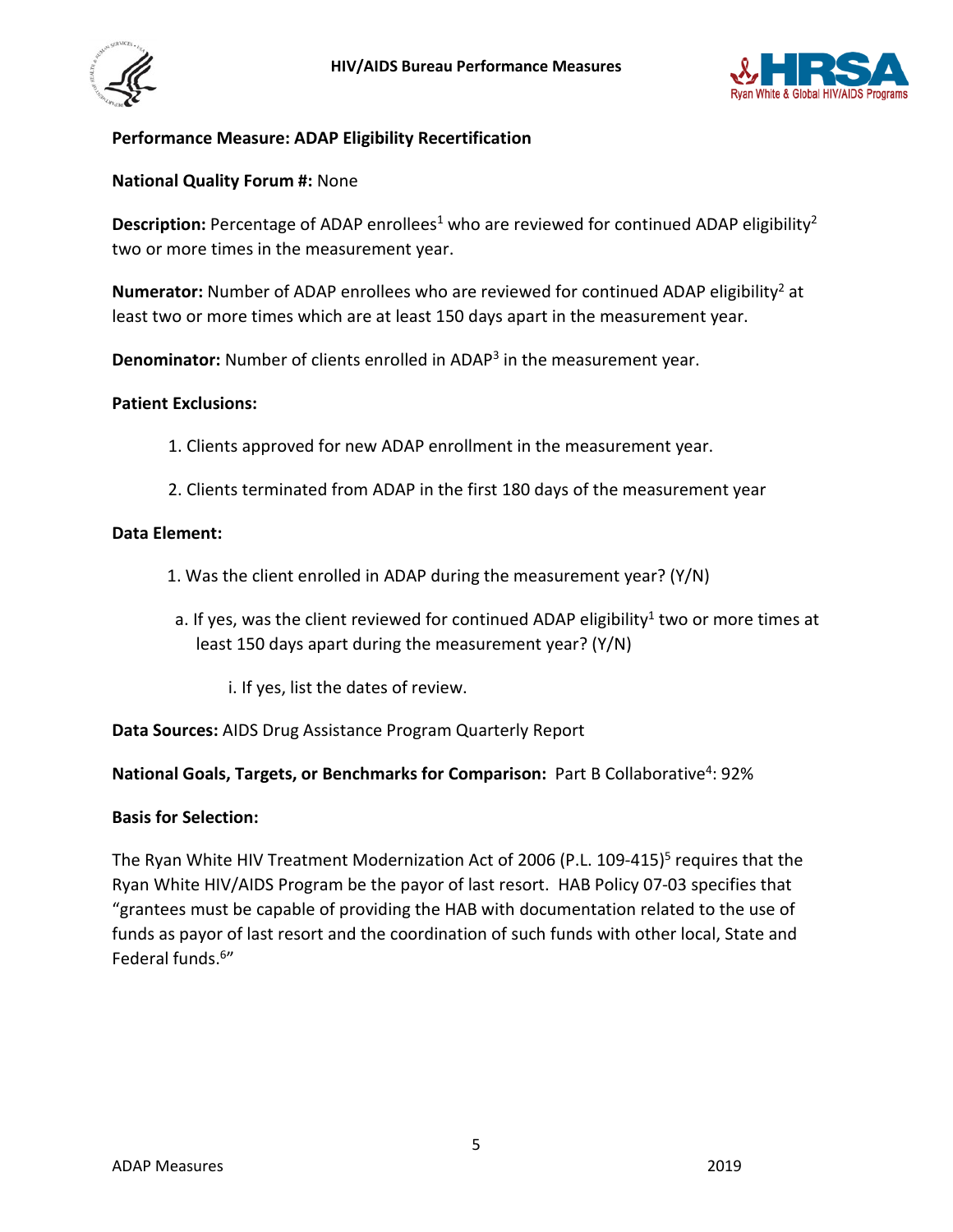



## **Performance Measure: ADAP Eligibility Recertification**

#### **National Quality Forum #:** None

**Description:** Percentage of ADAP enrollees<sup>1</sup> who are reviewed for continued ADAP eligibility<sup>2</sup> two or more times in the measurement year.

**Numerator:** Number of ADAP enrollees who are reviewed for continued ADAP eligibility<sup>2</sup> at least two or more times which are at least 150 days apart in the measurement year.

**Denominator:** Number of clients enrolled in ADAP3 in the measurement year.

#### **Patient Exclusions:**

- 1. Clients approved for new ADAP enrollment in the measurement year.
- 2. Clients terminated from ADAP in the first 180 days of the measurement year

#### **Data Element:**

- 1. Was the client enrolled in ADAP during the measurement year? (Y/N)
- a. If yes, was the client reviewed for continued ADAP eligibility<sup>1</sup> two or more times at least 150 days apart during the measurement year? (Y/N)
	- i. If yes, list the dates of review.

**Data Sources:** AIDS Drug Assistance Program Quarterly Report

#### **National Goals, Targets, or Benchmarks for Comparison:** Part B Collaborative<sup>4</sup>: 92%

#### **Basis for Selection:**

The Ryan White HIV Treatment Modernization Act of 2006 (P.L. 109-415)<sup>5</sup> requires that the Ryan White HIV/AIDS Program be the payor of last resort. HAB Policy 07-03 specifies that "grantees must be capable of providing the HAB with documentation related to the use of funds as payor of last resort and the coordination of such funds with other local, State and Federal funds.6"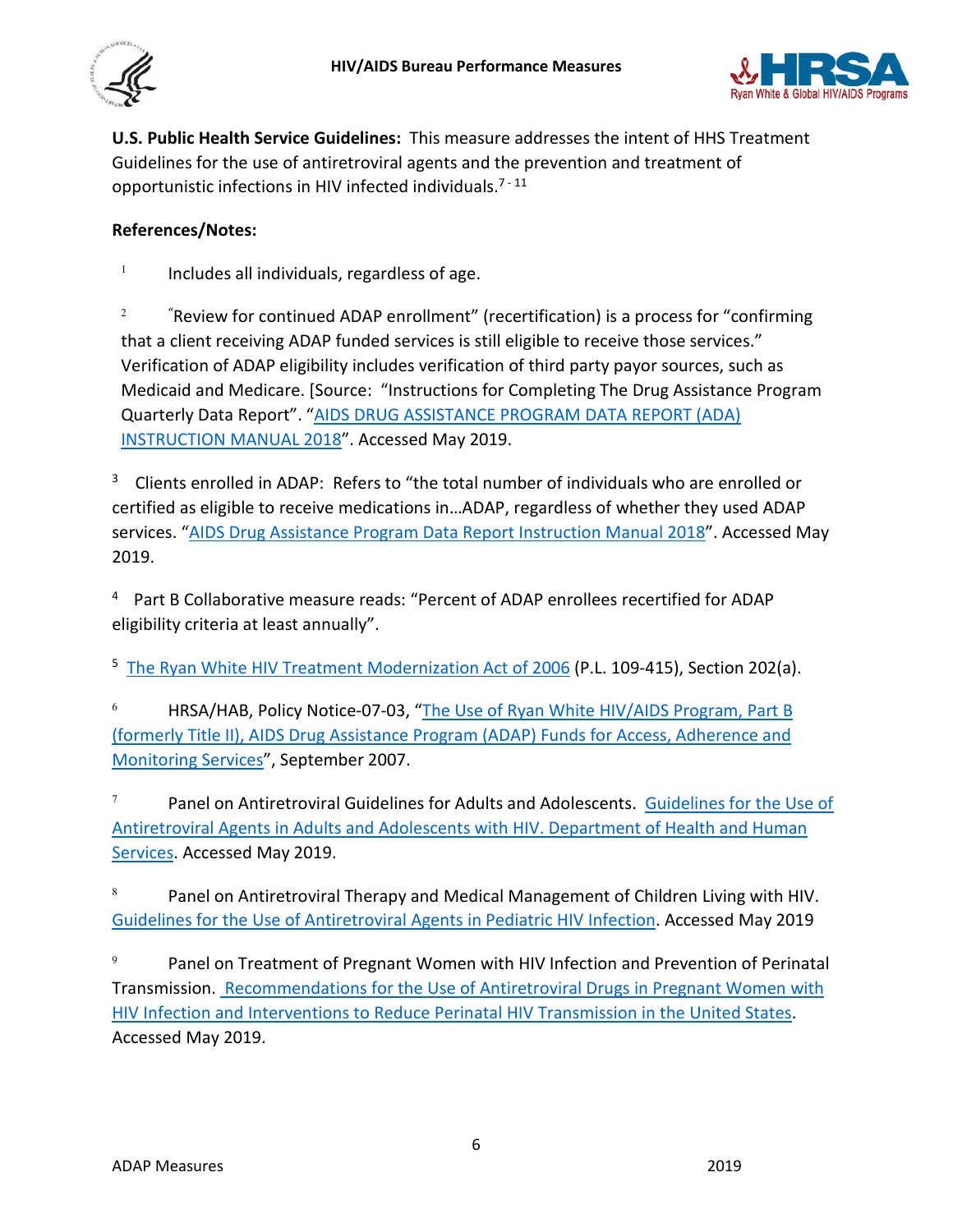



**U.S. Public Health Service Guidelines:** This measure addresses the intent of HHS Treatment Guidelines for the use of antiretroviral agents and the prevention and treatment of opportunistic infections in HIV infected individuals.<sup>7-11</sup>

## **References/Notes:**

 $1$  Includes all individuals, regardless of age.

 $2^2$  " "Review for continued ADAP enrollment" (recertification) is a process for "confirming that a client receiving ADAP funded services is still eligible to receive those services." Verification of ADAP eligibility includes verification of third party payor sources, such as Medicaid and Medicare. [Source: "Instructions for Completing The Drug Assistance Program Quarterly Data Report". ["AIDS DRUG ASSISTANCE PROGRAM DATA REPORT \(ADA\)](https://targethiv.org/sites/default/files/file-upload/resources/508_2018%20ADR%20Manual_FINAL_013019_508_0.pdf)  [INSTRUCTION MANUAL 2018"](https://targethiv.org/sites/default/files/file-upload/resources/508_2018%20ADR%20Manual_FINAL_013019_508_0.pdf). Accessed May 2019.

<sup>3</sup> Clients enrolled in ADAP: Refers to "the total number of individuals who are enrolled or certified as eligible to receive medications in…ADAP, regardless of whether they used ADAP services. ["AIDS Drug Assistance Program Data Report Instruction Manual 2018"](https://targethiv.org/sites/default/files/file-upload/resources/508_2018%20ADR%20Manual_FINAL_013019_508_0.pdf). Accessed May 2019.

4 Part B Collaborative measure reads: "Percent of ADAP enrollees recertified for ADAP eligibility criteria at least annually".

<sup>5</sup> [The Ryan White HIV Treatment Modernization Act of 2006](https://hab.hrsa.gov/sites/default/files/hab/About/RyanWhite/legislationtitlexxvi.pdf) (P.L. 109-415), Section 202(a).

<sup>6</sup> HRSA/HAB, Policy Notice-07-03, ["The Use of Ryan White HIV/AIDS Program, Part B](https://hab.hrsa.gov/sites/default/files/hab/Global/useadapaccesspn0703.pdf)  [\(formerly Title II\), AIDS Drug Assistance Program \(ADAP\) Funds for Access, Adherence and](https://hab.hrsa.gov/sites/default/files/hab/Global/useadapaccesspn0703.pdf)  [Monitoring Services"](https://hab.hrsa.gov/sites/default/files/hab/Global/useadapaccesspn0703.pdf), September 2007.

<sup>7</sup> Panel on Antiretroviral Guidelines for Adults and Adolescents. Guidelines for the Use of [Antiretroviral Agents in Adults and Adolescents with HIV. Department of Health and Human](http://www.aidsinfo.nih.gov/ContentFiles/AdultandAdolescentGL.pdf)  [Services.](http://www.aidsinfo.nih.gov/ContentFiles/AdultandAdolescentGL.pdf) Accessed May 2019.

8 Panel on Antiretroviral Therapy and Medical Management of Children Living with HIV. [Guidelines for the Use of Antiretroviral Agents in Pediatric HIV Infection.](http://aidsinfo.nih.gov/contentfiles/lvguidelines/pediatricguidelines.pdf) Accessed May 2019

 $9 \qquad$  Panel on Treatment of Pregnant Women with HIV Infection and Prevention of Perinatal Transmission. Recommendations for [the Use of Antiretroviral Drugs in](http://aidsinfo.nih.gov/contentfiles/lvguidelines/PerinatalGL.pdf) Pregnant Women with [HIV Infection and Interventions to Reduce Perinatal HIV Transmission in the United States.](http://aidsinfo.nih.gov/contentfiles/lvguidelines/PerinatalGL.pdf) Accessed May 2019.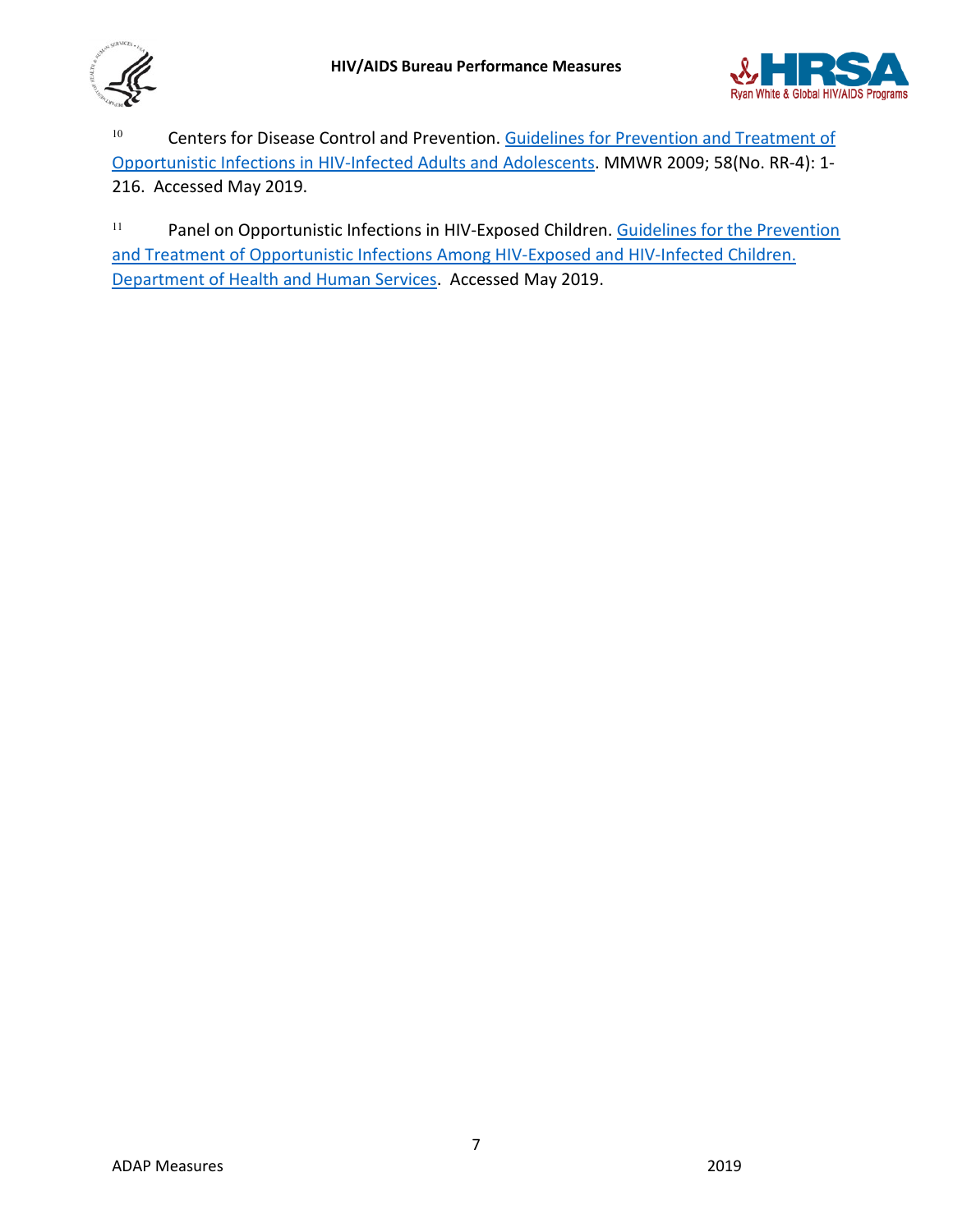



<sup>10</sup> Centers for Disease Control and Prevention. Guidelines for Prevention and Treatment of [Opportunistic Infections in HIV-Infected Adults and Adolescents.](https://www.cdc.gov/mmwr/pdf/rr/rr5804.pdf) MMWR 2009; 58(No. RR-4): 1- 216. Accessed May 2019.

<sup>11</sup> Panel on Opportunistic Infections in HIV-Exposed Children. Guidelines for the Prevention [and Treatment of Opportunistic Infections Among](https://aidsinfo.nih.gov/contentfiles/lvguidelines/oi_guidelines_pediatrics.pdf) HIV-Exposed and HIV-Infected Children. [Department of Health and Human Services.](https://aidsinfo.nih.gov/contentfiles/lvguidelines/oi_guidelines_pediatrics.pdf) Accessed May 2019.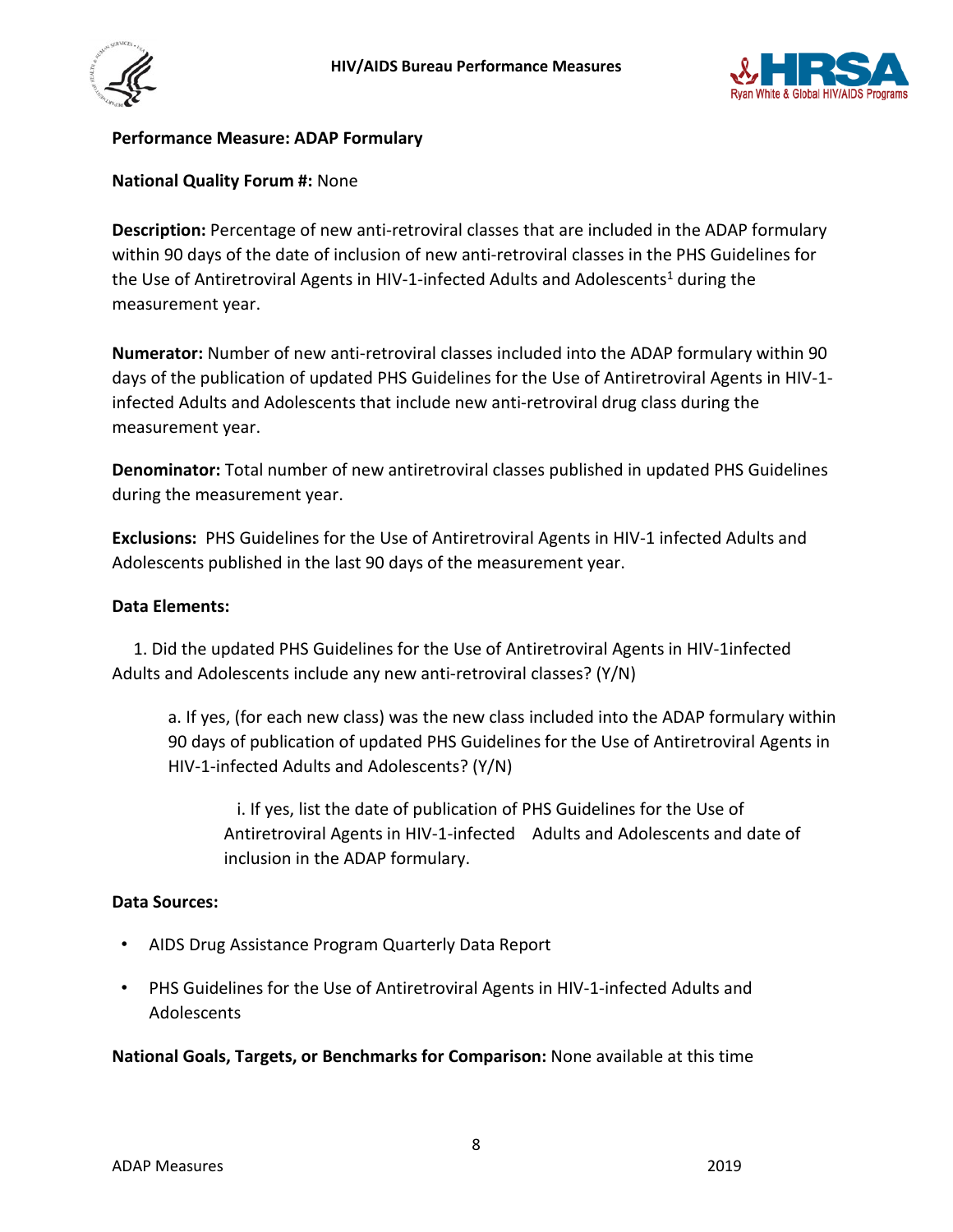



#### <span id="page-7-0"></span>**Performance Measure: ADAP Formulary**

#### **National Quality Forum #:** None

**Description:** Percentage of new anti-retroviral classes that are included in the ADAP formulary within 90 days of the date of inclusion of new anti-retroviral classes in the PHS Guidelines for the Use of Antiretroviral Agents in HIV-1-infected Adults and Adolescents<sup>1</sup> during the measurement year.

**Numerator:** Number of new anti-retroviral classes included into the ADAP formulary within 90 days of the publication of updated PHS Guidelines for the Use of Antiretroviral Agents in HIV-1 infected Adults and Adolescents that include new anti-retroviral drug class during the measurement year.

**Denominator:** Total number of new antiretroviral classes published in updated PHS Guidelines during the measurement year.

**Exclusions:** PHS Guidelines for the Use of Antiretroviral Agents in HIV-1 infected Adults and Adolescents published in the last 90 days of the measurement year.

#### **Data Elements:**

 1. Did the updated PHS Guidelines for the Use of Antiretroviral Agents in HIV-1infected Adults and Adolescents include any new anti-retroviral classes? (Y/N)

a. If yes, (for each new class) was the new class included into the ADAP formulary within 90 days of publication of updated PHS Guidelines for the Use of Antiretroviral Agents in HIV-1-infected Adults and Adolescents? (Y/N)

 i. If yes, list the date of publication of PHS Guidelines for the Use of Antiretroviral Agents in HIV-1-infected Adults and Adolescents and date of inclusion in the ADAP formulary.

#### **Data Sources:**

- AIDS Drug Assistance Program Quarterly Data Report
- PHS Guidelines for the Use of Antiretroviral Agents in HIV-1-infected Adults and Adolescents

**National Goals, Targets, or Benchmarks for Comparison:** None available at this time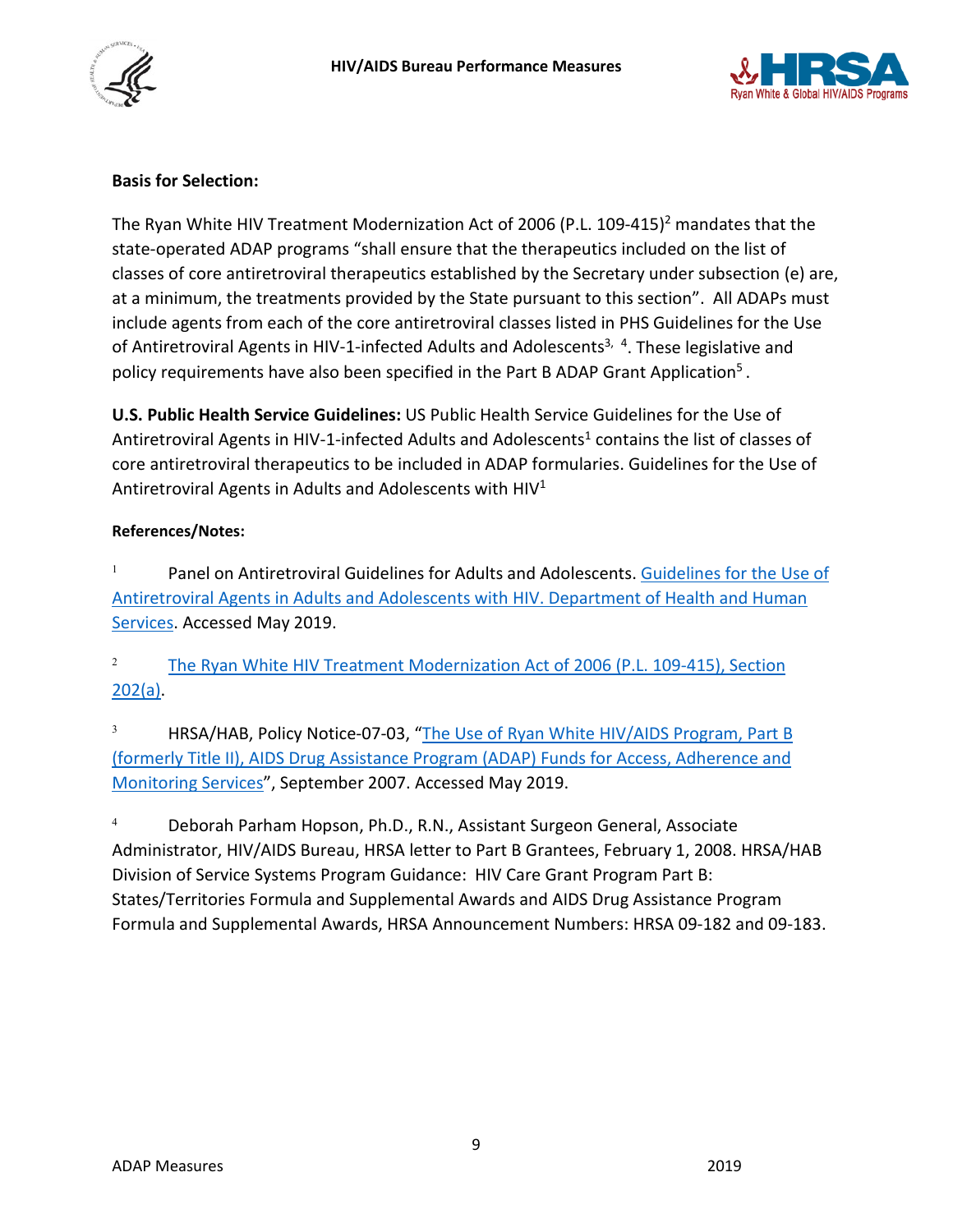



## **Basis for Selection:**

The Ryan White HIV Treatment Modernization Act of 2006 (P.L. 109-415)<sup>2</sup> mandates that the state-operated ADAP programs "shall ensure that the therapeutics included on the list of classes of core antiretroviral therapeutics established by the Secretary under subsection (e) are, at a minimum, the treatments provided by the State pursuant to this section". All ADAPs must include agents from each of the core antiretroviral classes listed in PHS Guidelines for the Use of Antiretroviral Agents in HIV-1-infected Adults and Adolescents<sup>3, 4</sup>. These legislative and policy requirements have also been specified in the Part B ADAP Grant Application<sup>5</sup>.

**U.S. Public Health Service Guidelines:** US Public Health Service Guidelines for the Use of Antiretroviral Agents in HIV-1-infected Adults and Adolescents<sup>1</sup> contains the list of classes of core antiretroviral therapeutics to be included in ADAP formularies. Guidelines for the Use of Antiretroviral Agents in Adults and Adolescents with HIV1

#### **References/Notes:**

<sup>1</sup> Panel on Antiretroviral Guidelines for Adults and Adolescents. Guidelines for the Use of [Antiretroviral Agents in Adults and Adolescents with HIV. Department of Health and Human](http://www.aidsinfo.nih.gov/ContentFiles/AdultandAdolescentGL.pdf)  [Services.](http://www.aidsinfo.nih.gov/ContentFiles/AdultandAdolescentGL.pdf) Accessed May 2019.

<sup>2</sup> The Ryan White HIV Treatment Modernization Act of 2006 (P.L. 109-415), Section [202\(a\).](https://hab.hrsa.gov/sites/default/files/hab/About/RyanWhite/legislationtitlexxvi.pdf)

<sup>3</sup> HRSA/HAB, Policy Notice-07-03, "The Use of Ryan White HIV/AIDS Program, Part B [\(formerly Title II\), AIDS Drug Assistance Program \(ADAP\) Funds for Access, Adherence and](https://hab.hrsa.gov/sites/default/files/hab/Global/useadapaccesspn0703.pdf)  [Monitoring Services"](https://hab.hrsa.gov/sites/default/files/hab/Global/useadapaccesspn0703.pdf), September 2007. Accessed May 2019.

<sup>4</sup> Deborah Parham Hopson, Ph.D., R.N., Assistant Surgeon General, Associate Administrator, HIV/AIDS Bureau, HRSA letter to Part B Grantees, February 1, 2008. HRSA/HAB Division of Service Systems Program Guidance: HIV Care Grant Program Part B: States/Territories Formula and Supplemental Awards and AIDS Drug Assistance Program Formula and Supplemental Awards, HRSA Announcement Numbers: HRSA 09-182 and 09-183.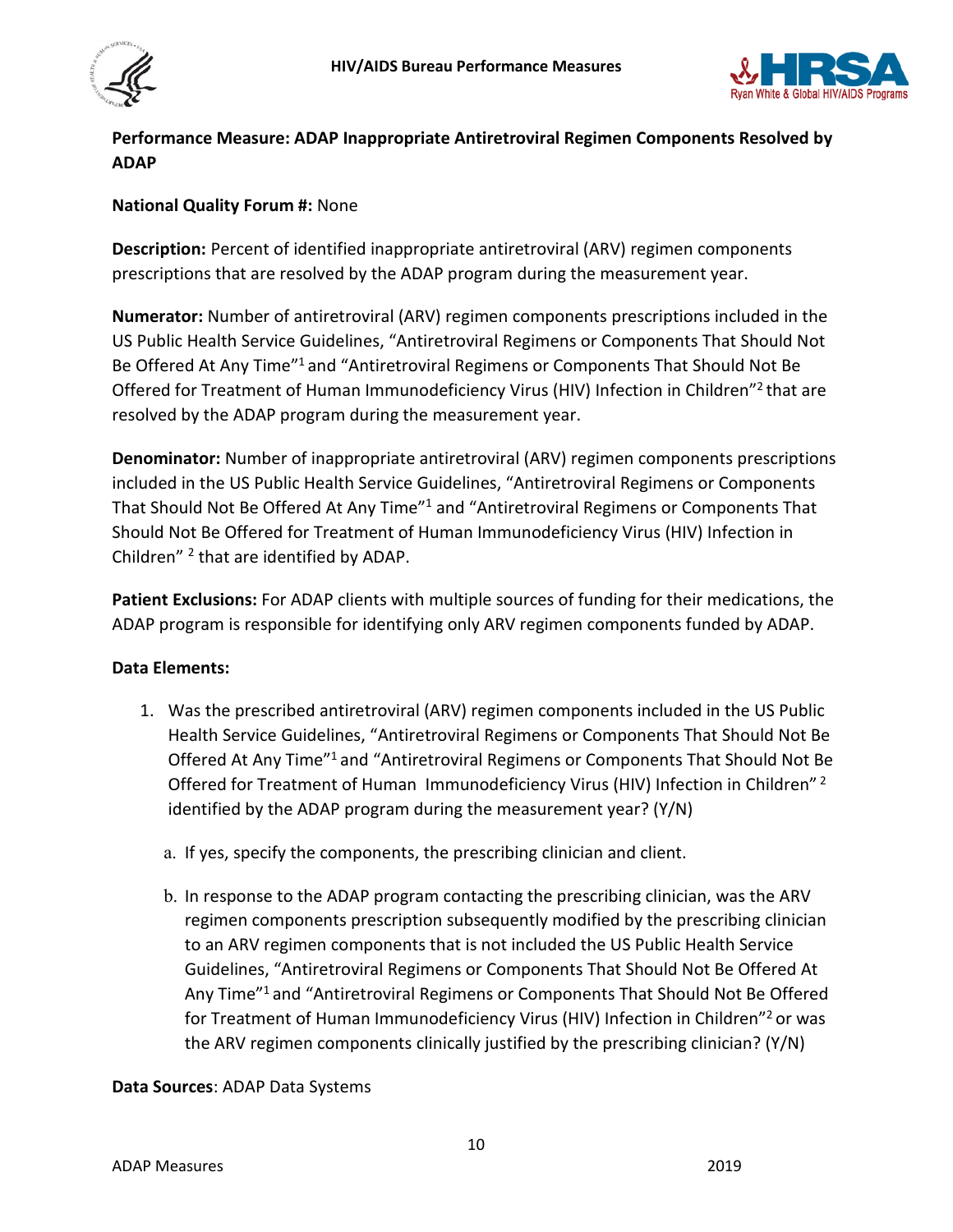



## <span id="page-9-0"></span>**Performance Measure: ADAP Inappropriate Antiretroviral Regimen Components Resolved by ADAP**

## **National Quality Forum #:** None

**Description:** Percent of identified inappropriate antiretroviral (ARV) regimen components prescriptions that are resolved by the ADAP program during the measurement year.

**Numerator:** Number of antiretroviral (ARV) regimen components prescriptions included in the US Public Health Service Guidelines, "Antiretroviral Regimens or Components That Should Not Be Offered At Any Time"<sup>1</sup> and "Antiretroviral Regimens or Components That Should Not Be Offered for Treatment of Human Immunodeficiency Virus (HIV) Infection in Children"2 that are resolved by the ADAP program during the measurement year.

**Denominator:** Number of inappropriate antiretroviral (ARV) regimen components prescriptions included in the US Public Health Service Guidelines, "Antiretroviral Regimens or Components That Should Not Be Offered At Any Time"1 and "Antiretroviral Regimens or Components That Should Not Be Offered for Treatment of Human Immunodeficiency Virus (HIV) Infection in Children" <sup>2</sup> that are identified by ADAP.

**Patient Exclusions:** For ADAP clients with multiple sources of funding for their medications, the ADAP program is responsible for identifying only ARV regimen components funded by ADAP.

## **Data Elements:**

- 1. Was the prescribed antiretroviral (ARV) regimen components included in the US Public Health Service Guidelines, "Antiretroviral Regimens or Components That Should Not Be Offered At Any Time"1 and "Antiretroviral Regimens or Components That Should Not Be Offered for Treatment of Human Immunodeficiency Virus (HIV) Infection in Children"<sup>2</sup> identified by the ADAP program during the measurement year? (Y/N)
	- a. If yes, specify the components, the prescribing clinician and client.
	- b. In response to the ADAP program contacting the prescribing clinician, was the ARV regimen components prescription subsequently modified by the prescribing clinician to an ARV regimen components that is not included the US Public Health Service Guidelines, "Antiretroviral Regimens or Components That Should Not Be Offered At Any Time"<sup>1</sup> and "Antiretroviral Regimens or Components That Should Not Be Offered for Treatment of Human Immunodeficiency Virus (HIV) Infection in Children"<sup>2</sup> or was the ARV regimen components clinically justified by the prescribing clinician? (Y/N)

## **Data Sources**: ADAP Data Systems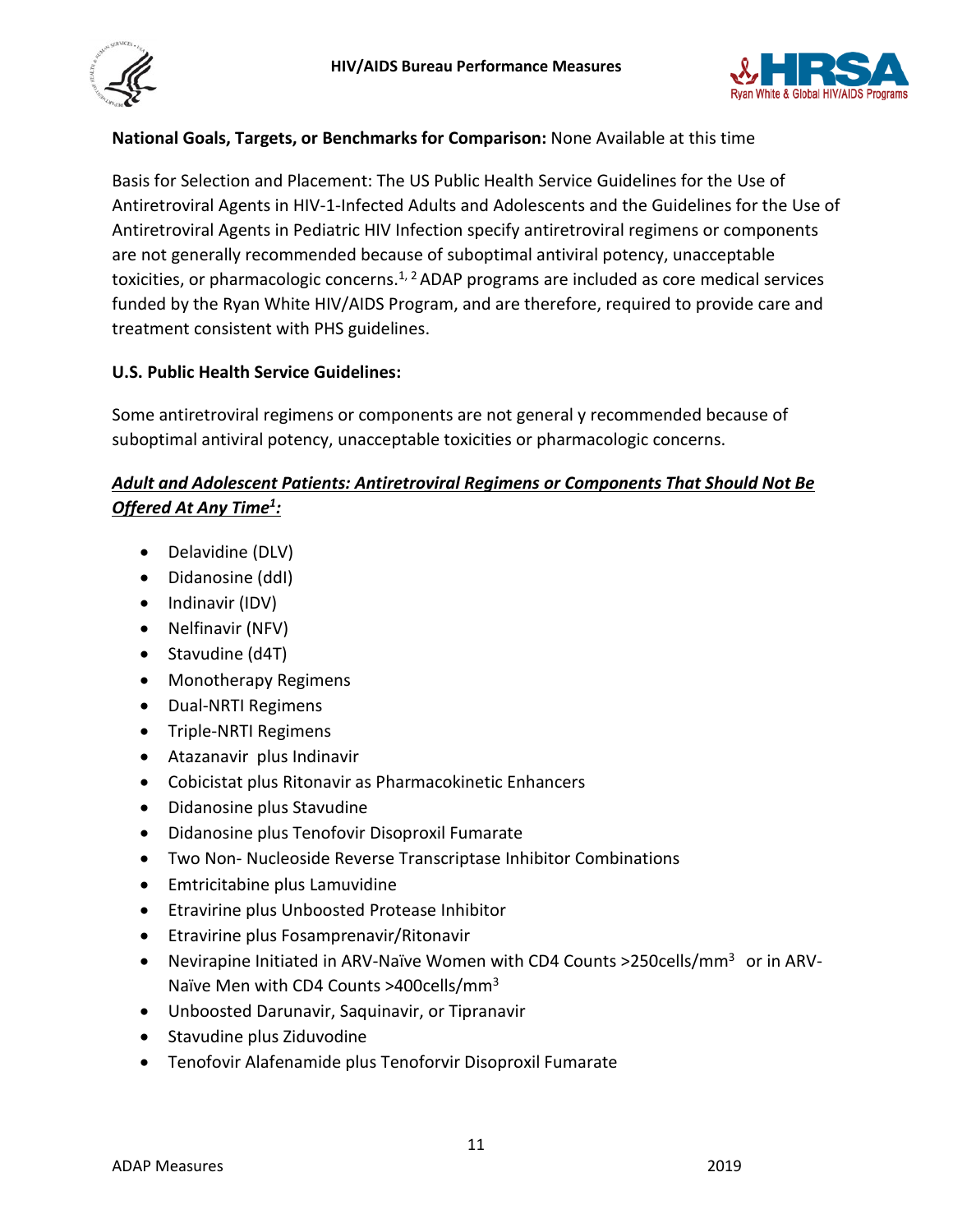



## **National Goals, Targets, or Benchmarks for Comparison:** None Available at this time

Basis for Selection and Placement: The US Public Health Service Guidelines for the Use of Antiretroviral Agents in HIV-1-Infected Adults and Adolescents and the Guidelines for the Use of Antiretroviral Agents in Pediatric HIV Infection specify antiretroviral regimens or components are not generally recommended because of suboptimal antiviral potency, unacceptable toxicities, or pharmacologic concerns.<sup>1, 2</sup> ADAP programs are included as core medical services funded by the Ryan White HIV/AIDS Program, and are therefore, required to provide care and treatment consistent with PHS guidelines.

## **U.S. Public Health Service Guidelines:**

Some antiretroviral regimens or components are not general y recommended because of suboptimal antiviral potency, unacceptable toxicities or pharmacologic concerns.

## *Adult and Adolescent Patients: Antiretroviral Regimens or Components That Should Not Be Offered At Any Time<sup>1</sup>:*

- Delavidine (DLV)
- Didanosine (ddI)
- Indinavir (IDV)
- Nelfinavir (NFV)
- Stavudine (d4T)
- Monotherapy Regimens
- Dual-NRTI Regimens
- Triple-NRTI Regimens
- Atazanavir plus Indinavir
- Cobicistat plus Ritonavir as Pharmacokinetic Enhancers
- Didanosine plus Stavudine
- Didanosine plus Tenofovir Disoproxil Fumarate
- Two Non- Nucleoside Reverse Transcriptase Inhibitor Combinations
- Emtricitabine plus Lamuvidine
- Etravirine plus Unboosted Protease Inhibitor
- Etravirine plus Fosamprenavir/Ritonavir
- Nevirapine Initiated in ARV-Naïve Women with CD4 Counts > 250 cells/mm<sup>3</sup> or in ARV-Naïve Men with CD4 Counts >400cells/mm3
- Unboosted Darunavir, Saquinavir, or Tipranavir
- Stavudine plus Ziduvodine
- Tenofovir Alafenamide plus Tenoforvir Disoproxil Fumarate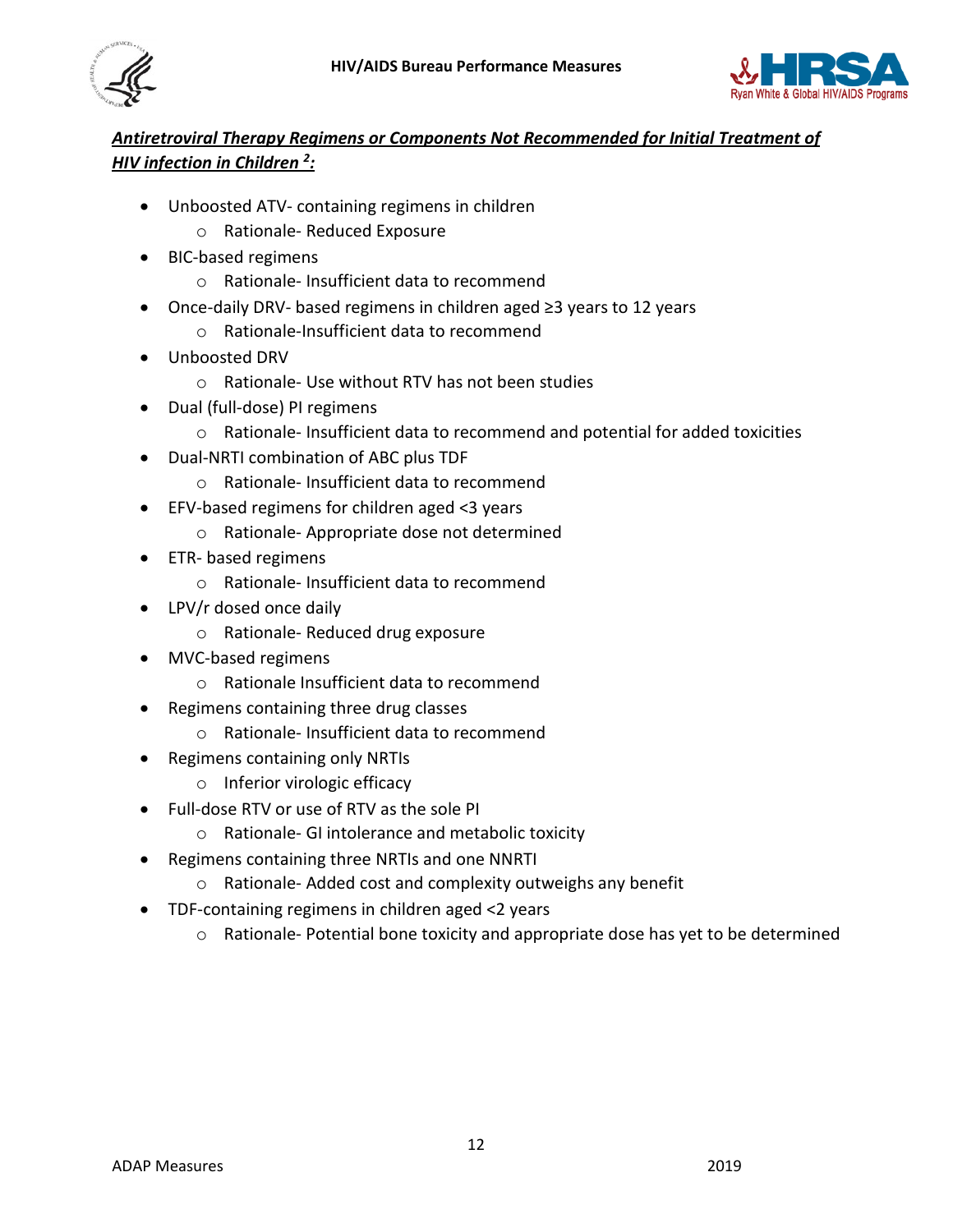



# *Antiretroviral Therapy Regimens or Components Not Recommended for Initial Treatment of*  **HIV infection in Children <sup>2</sup>**:

- Unboosted ATV- containing regimens in children
	- o Rationale- Reduced Exposure
- BIC-based regimens
	- o Rationale- Insufficient data to recommend
- Once-daily DRV- based regimens in children aged ≥3 years to 12 years
	- o Rationale-Insufficient data to recommend
- Unboosted DRV
	- o Rationale- Use without RTV has not been studies
- Dual (full-dose) PI regimens
	- $\circ$  Rationale-Insufficient data to recommend and potential for added toxicities
- Dual-NRTI combination of ABC plus TDF
	- o Rationale- Insufficient data to recommend
- EFV-based regimens for children aged <3 years
	- o Rationale- Appropriate dose not determined
- ETR- based regimens
	- o Rationale- Insufficient data to recommend
- LPV/r dosed once daily
	- o Rationale- Reduced drug exposure
- MVC-based regimens
	- o Rationale Insufficient data to recommend
- Regimens containing three drug classes
	- o Rationale- Insufficient data to recommend
- Regimens containing only NRTIs
	- o Inferior virologic efficacy
- Full-dose RTV or use of RTV as the sole PI
	- o Rationale- GI intolerance and metabolic toxicity
- Regimens containing three NRTIs and one NNRTI
	- o Rationale- Added cost and complexity outweighs any benefit
- TDF-containing regimens in children aged <2 years
	- o Rationale- Potential bone toxicity and appropriate dose has yet to be determined